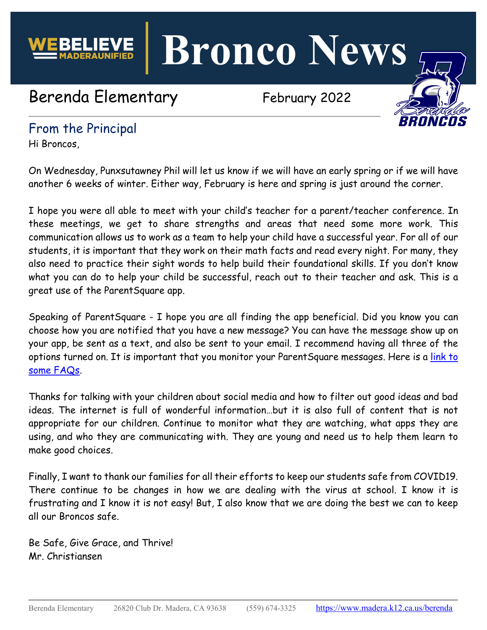

**Bronco News**

# Berenda Elementary February 2022



## From the Principal

Hi Broncos,

On Wednesday, Punxsutawney Phil will let us know if we will have an early spring or if we will have another 6 weeks of winter. Either way, February is here and spring is just around the corner.

I hope you were all able to meet with your child's teacher for a parent/teacher conference. In these meetings, we get to share strengths and areas that need some more work. This communication allows us to work as a team to help your child have a successful year. For all of our students, it is important that they work on their math facts and read every night. For many, they also need to practice their sight words to help build their foundational skills. If you don't know what you can do to help your child be successful, reach out to their teacher and ask. This is a great use of the ParentSquare app.

Speaking of ParentSquare - I hope you are all finding the app beneficial. Did you know you can choose how you are notified that you have a new message? You can have the message show up on your app, be sent as a text, and also be sent to your email. I recommend having all three of the options turned on. It is important that you monitor your ParentSquare messages. Here is a link to [some FAQs.](https://blog.parentsquare.com/blog/2020/7/15/help-please-frequently-asked-parent-questions)

Thanks for talking with your children about social media and how to filter out good ideas and bad ideas. The internet is full of wonderful information…but it is also full of content that is not appropriate for our children. Continue to monitor what they are watching, what apps they are using, and who they are communicating with. They are young and need us to help them learn to make good choices.

Finally, I want to thank our families for all their efforts to keep our students safe from COVID19. There continue to be changes in how we are dealing with the virus at school. I know it is frustrating and I know it is not easy! But, I also know that we are doing the best we can to keep all our Broncos safe.

Be Safe, Give Grace, and Thrive! Mr. Christiansen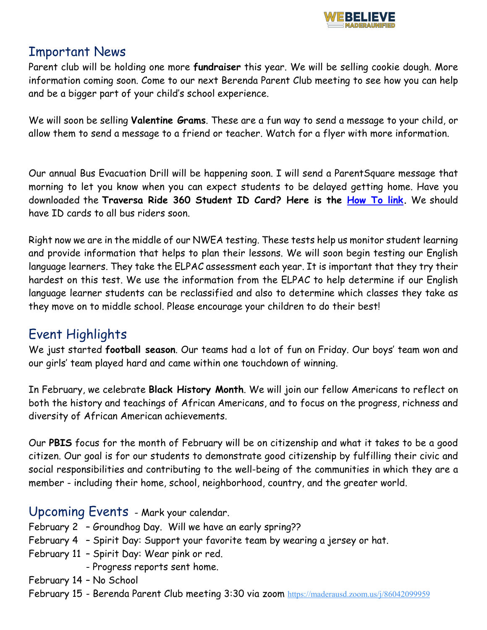

#### Important News

Parent club will be holding one more **fundraiser** this year. We will be selling cookie dough. More information coming soon. Come to our next Berenda Parent Club meeting to see how you can help and be a bigger part of your child's school experience.

We will soon be selling **Valentine Grams**. These are a fun way to send a message to your child, or allow them to send a message to a friend or teacher. Watch for a flyer with more information.

Our annual Bus Evacuation Drill will be happening soon. I will send a ParentSquare message that morning to let you know when you can expect students to be delayed getting home. Have you downloaded the **Traversa Ride 360 Student ID Card? Here is the [How To link.](https://www.madera.k12.ca.us/site/handlers/filedownload.ashx?moduleinstanceid=33047&dataid=37852&FileName=Ride%20360%20for%20Parents.pdf)** We should have ID cards to all bus riders soon.

Right now we are in the middle of our NWEA testing. These tests help us monitor student learning and provide information that helps to plan their lessons. We will soon begin testing our English language learners. They take the ELPAC assessment each year. It is important that they try their hardest on this test. We use the information from the ELPAC to help determine if our English language learner students can be reclassified and also to determine which classes they take as they move on to middle school. Please encourage your children to do their best!

## Event Highlights

We just started **football season**. Our teams had a lot of fun on Friday. Our boys' team won and our girls' team played hard and came within one touchdown of winning.

In February, we celebrate **Black History Month**. We will join our fellow Americans to reflect on both the history and teachings of African Americans, and to focus on the progress, richness and diversity of African American achievements.

Our **PBIS** focus for the month of February will be on citizenship and what it takes to be a good citizen. Our goal is for our students to demonstrate good citizenship by fulfilling their civic and social responsibilities and contributing to the well-being of the communities in which they are a member - including their home, school, neighborhood, country, and the greater world.

#### Upcoming Events - Mark your calendar.

- February 2 Groundhog Day. Will we have an early spring??
- February 4 Spirit Day: Support your favorite team by wearing a jersey or hat.
- February 11 Spirit Day: Wear pink or red.
	- Progress reports sent home.
- February 14 No School
- February 15 Berenda Parent Club meeting 3:30 via zoom <https://maderausd.zoom.us/j/86042099959>